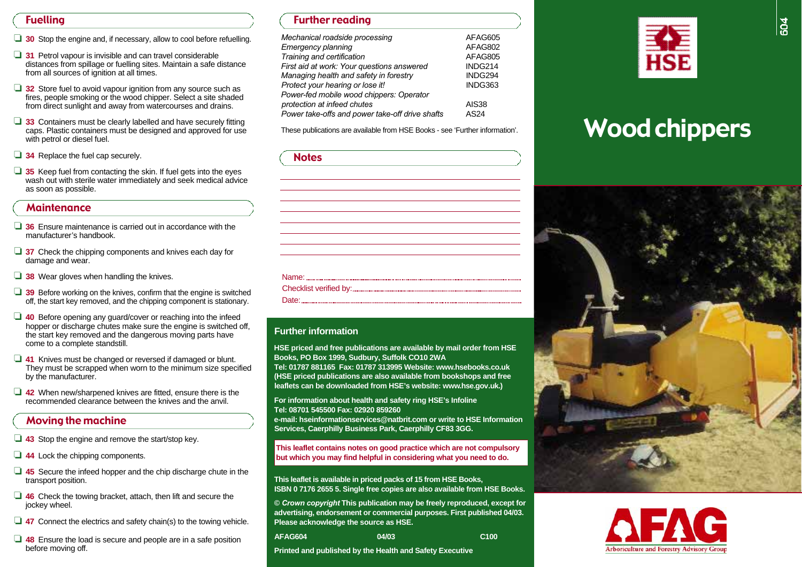## Fuelling

- □ 30 Stop the engine and, if necessary, allow to cool before refuelling.
- □ 31 Petrol vapour is invisible and can travel considerable distances from spillage or fuelling sites. Maintain a safe distance from all sources of ignition at all times.
- □ 32 Store fuel to avoid vapour ignition from any source such as fires, people smoking or the wood chipper. Select a site shaded from direct sunlight and away from watercourses and drains.
- ❏ **3 3** Containers must be clearly labelled and have securely fitting caps. Plastic containers must be designed and approved for use with petrol or diesel fuel.
- **□ 34** Replace the fuel cap securely.
- **□ 35** Keep fuel from contacting the skin. If fuel gets into the eyes wash out with sterile water immediately and seek medical advice as soon as possible.

## **Maintenance**

- □ 36 Ensure maintenance is carried out in accordance with the manufacturer's handbook.
- □ 37 Check the chipping components and knives each day for damage and wear.
- □ 38 Wear gloves when handling the knives.
- □ 39 Before working on the knives, confirm that the engine is switched off, the start key removed, and the chipping component is stationary.
- □ 40 Before opening any guard/cover or reaching into the infeed hopper or discharge chutes make sure the engine is switched off. the start key removed and the dangerous moving parts have come to a complete standstill.
- ❏ **4 1** Knives must be changed or reversed if damaged or blunt. They must be scrapped when worn to the minimum size specified by the manufacturer.
- □ 42 When new/sharpened knives are fitted, ensure there is the recommended clearance between the knives and the anvil.

## Moving the machine

- ❏ **4 3** Stop the engine and remove the start/stop key.
- ❏ **4 4** Lock the chipping components.
- ❏ **4 5** Secure the infeed hopper and the chip discharge chute in the transport position.
- □ 46 Check the towing bracket, attach, then lift and secure the jockey wheel.
- **□ 47** Connect the electrics and safety chain(s) to the towing vehicle.
- ❏ **4 8** Ensure the load is secure and people are in a safe position before moving off.

## Further reading

| Mechanical roadside processing                  | AFAG605      |
|-------------------------------------------------|--------------|
| Emergency planning                              | AFAG802      |
| Training and certification                      | AFAG805      |
| First aid at work: Your questions answered      | INDG214      |
| Managing health and safety in forestry          | INDG294      |
| Protect your hearing or lose it!                | INDG363      |
| Power-fed mobile wood chippers: Operator        |              |
| protection at infeed chutes                     | <b>AIS38</b> |
| Power take-offs and power take-off drive shafts | AS24         |

#### **Further information**

**HSE priced and free publications are available by mail order from HSE Books, PO Box 1999, Sudbury, Suffolk CO10 2WA**

Tel: 01787 881165 Fax: 01787 313995 Website: www.hsebooks.co.uk **(HSE priced publications are also available from bookshops and free** leaflets can be downloaded from HSE's website: www.hse.gov.uk.)

**For information about health and safety ring HSE's Infoline Tel: 08701 545500 Fax: 02920 859260 e-mail: hseinformationservices@natbrit.com or write to HSE Information**

**Services, Caerphilly Business Park, Caerphilly CF83 3GG.** 

**This leaflet contains notes on good practice which are not compulsory but which you may find helpful in considering what you need to do.**

**This leaflet is available in priced packs of 15 from HSE Books, ISBN 0 7176 2655 5. Single free copies are also available from HSE Books.** 

**©** *Crown copyright* **This publication may be freely reproduced, except for advertising, endorsement or commercial purposes. First published 04/03. Please acknowledge the source as HSE.**

| AFAG604 | 04/03 | C <sub>100</sub> |
|---------|-------|------------------|
|         |       |                  |

**Printed and published by the Health and Safety Executive**



# These publications are available from HSE Books - see 'Further information'. Wood chippers